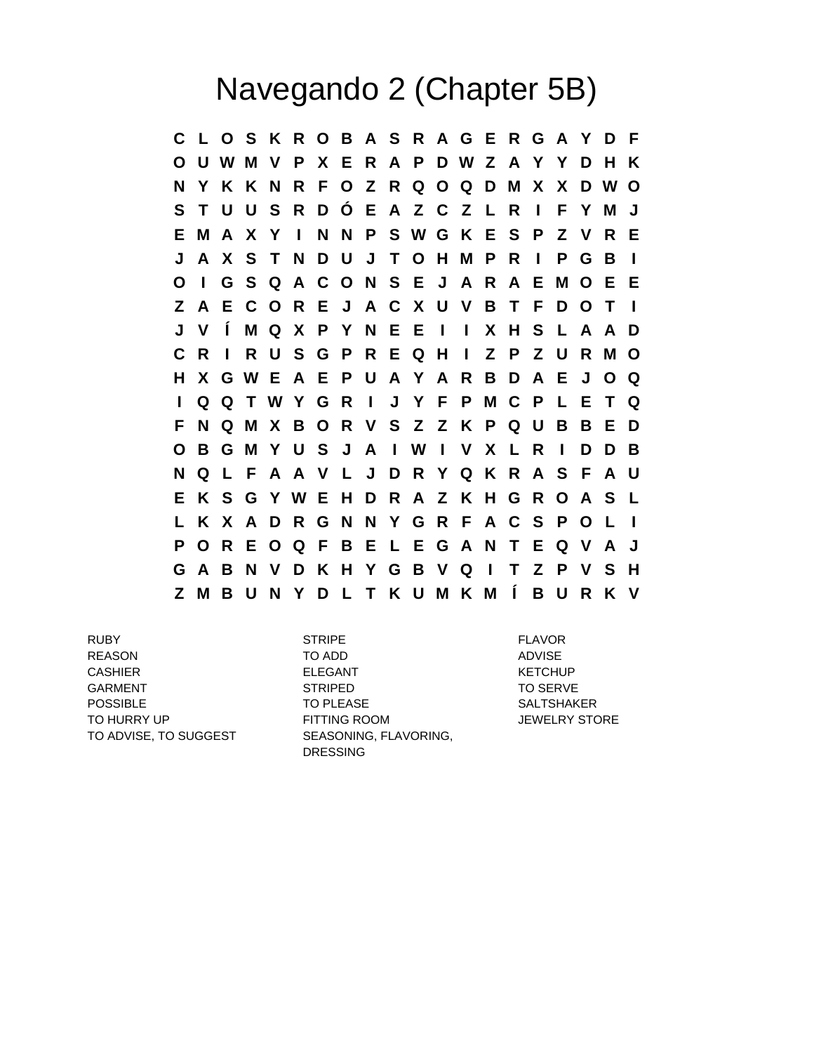## Navegando 2 (Chapter 5B)

**C L O S K R O B A S R A G E R G A Y D F O U W M V P X E R A P D W Z A Y Y D H K N Y K K N R F O Z R Q O Q D M X X D W O S T U U S R D Ó E A Z C Z L R I F Y M J E M A X Y I N N P S W G K E S P Z V R E J A X S T N D U J T O H M P R I P G B I O I G S Q A C O N S E J A R A E M O E E Z A E C O R E J A C X U V B T F D O T I J V Í M Q X P Y N E E I I X H S L A A D C R I R U S G P R E Q H I Z P Z U R M O H X G W E A E P U A Y A R B D A E J O Q I Q Q T W Y G R I J Y F P M C P L E T Q F N Q M X B O R V S Z Z K P Q U B B E D O B G M Y U S J A I W I V X L R I D D B N Q L F A A V L J D R Y Q K R A S F A U E K S G Y W E H D R A Z K H G R O A S L L K X A D R G N N Y G R F A C S P O L I P O R E O Q F B E L E G A N T E Q V A J G A B N V D K H Y G B V Q I T Z P V S H Z M B U N Y D L T K U M K M Í B U R K V**

TO ADVISE, TO SUGGEST SEASONING, FLAVORING,

RUBY STRIPE FLAVOR REASON TO ADD ADVISE CASHIER ELEGANT ELEGANT KETCHUP GARMENT STRIPED STRIPED TO SERVE POSSIBLE TO PLEASE SALTSHAKER TO HURRY UP FITTING ROOM JEWELRY STORE DRESSING